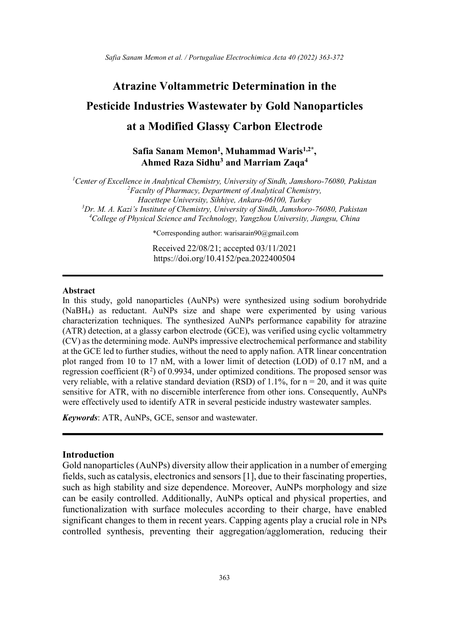# Atrazine Voltammetric Determination in the Pesticide Industries Wastewater by Gold Nanoparticles at a Modified Glassy Carbon Electrode

Safia Sanam Memon<sup>1</sup>, Muhammad Waris<sup>1,2\*</sup>, Ahmed Raza Sidhu<sup>3</sup> and Marriam Zaqa<sup>4</sup>

<sup>1</sup>Center of Excellence in Analytical Chemistry, University of Sindh, Jamshoro-76080, Pakistan  ${}^{2}$ Faculty of Pharmacy, Department of Analytical Chemistry, Hacettepe University, Sihhiye, Ankara-06100, Turkey  $3Dr$ , M. A. Kazi's Institute of Chemistry, University of Sindh, Jamshoro-76080, Pakistan  $^{4}$ College of Physical Science and Technology, Yangzhou University, Jiangsu, China

\*Corresponding author: warisarain90@gmail.com

Received 22/08/21; accepted 03/11/2021 https://doi.org/10.4152/pea.2022400504

#### Abstract

In this study, gold nanoparticles (AuNPs) were synthesized using sodium borohydride (NaBH4) as reductant. AuNPs size and shape were experimented by using various characterization techniques. The synthesized AuNPs performance capability for atrazine (ATR) detection, at a glassy carbon electrode (GCE), was verified using cyclic voltammetry (CV) as the determining mode. AuNPs impressive electrochemical performance and stability at the GCE led to further studies, without the need to apply nafion. ATR linear concentration plot ranged from 10 to 17 nM, with a lower limit of detection (LOD) of 0.17 nM, and a regression coefficient  $(R^2)$  of 0.9934, under optimized conditions. The proposed sensor was very reliable, with a relative standard deviation (RSD) of 1.1%, for  $n = 20$ , and it was quite sensitive for ATR, with no discernible interference from other ions. Consequently, AuNPs were effectively used to identify ATR in several pesticide industry wastewater samples.

Keywords: ATR, AuNPs, GCE, sensor and wastewater.

## Introduction

Gold nanoparticles (AuNPs) diversity allow their application in a number of emerging fields, such as catalysis, electronics and sensors [1], due to their fascinating properties, such as high stability and size dependence. Moreover, AuNPs morphology and size can be easily controlled. Additionally, AuNPs optical and physical properties, and functionalization with surface molecules according to their charge, have enabled significant changes to them in recent years. Capping agents play a crucial role in NPs controlled synthesis, preventing their aggregation/agglomeration, reducing their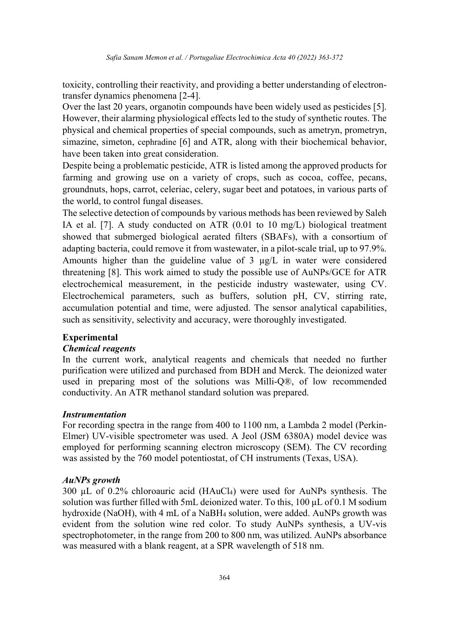toxicity, controlling their reactivity, and providing a better understanding of electrontransfer dynamics phenomena [2-4].

Over the last 20 years, organotin compounds have been widely used as pesticides [5]. However, their alarming physiological effects led to the study of synthetic routes. The physical and chemical properties of special compounds, such as ametryn, prometryn, simazine, simeton, cephradine [6] and ATR, along with their biochemical behavior, have been taken into great consideration.

Despite being a problematic pesticide, ATR is listed among the approved products for farming and growing use on a variety of crops, such as cocoa, coffee, pecans, groundnuts, hops, carrot, celeriac, celery, sugar beet and potatoes, in various parts of the world, to control fungal diseases.

The selective detection of compounds by various methods has been reviewed by Saleh IA et al. [7]. A study conducted on ATR (0.01 to 10 mg/L) biological treatment showed that submerged biological aerated filters (SBAFs), with a consortium of adapting bacteria, could remove it from wastewater, in a pilot-scale trial, up to 97.9%. Amounts higher than the guideline value of 3 µg/L in water were considered threatening [8]. This work aimed to study the possible use of AuNPs/GCE for ATR electrochemical measurement, in the pesticide industry wastewater, using CV. Electrochemical parameters, such as buffers, solution pH, CV, stirring rate, accumulation potential and time, were adjusted. The sensor analytical capabilities, such as sensitivity, selectivity and accuracy, were thoroughly investigated.

# Experimental

# Chemical reagents

In the current work, analytical reagents and chemicals that needed no further purification were utilized and purchased from BDH and Merck. The deionized water used in preparing most of the solutions was Milli-Q®, of low recommended conductivity. An ATR methanol standard solution was prepared.

# Instrumentation

For recording spectra in the range from 400 to 1100 nm, a Lambda 2 model (Perkin-Elmer) UV-visible spectrometer was used. A Jeol (JSM 6380A) model device was employed for performing scanning electron microscopy (SEM). The CV recording was assisted by the 760 model potentiostat, of CH instruments (Texas, USA).

#### AuNPs growth

300 µL of 0.2% chloroauric acid (HAuCl4) were used for AuNPs synthesis. The solution was further filled with 5mL deionized water. To this, 100 µL of 0.1 M sodium hydroxide (NaOH), with 4 mL of a NaBH4 solution, were added. AuNPs growth was evident from the solution wine red color. To study AuNPs synthesis, a UV-vis spectrophotometer, in the range from 200 to 800 nm, was utilized. AuNPs absorbance was measured with a blank reagent, at a SPR wavelength of 518 nm.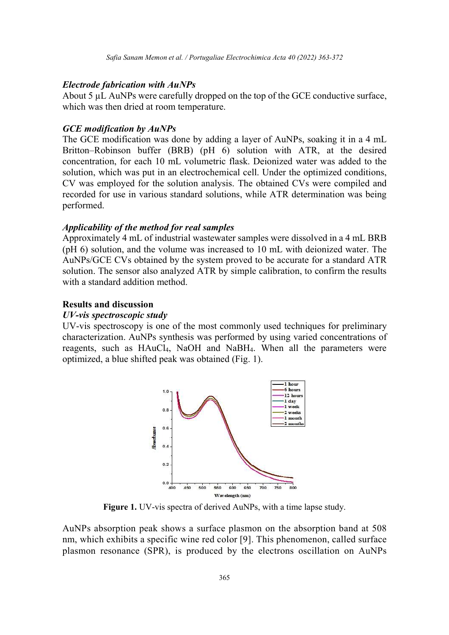## Electrode fabrication with AuNPs

About 5 uL AuNPs were carefully dropped on the top of the GCE conductive surface, which was then dried at room temperature.

#### GCE modification by AuNPs

The GCE modification was done by adding a layer of AuNPs, soaking it in a 4 mL Britton–Robinson buffer (BRB) (pH 6) solution with ATR, at the desired concentration, for each 10 mL volumetric flask. Deionized water was added to the solution, which was put in an electrochemical cell. Under the optimized conditions, CV was employed for the solution analysis. The obtained CVs were compiled and recorded for use in various standard solutions, while ATR determination was being performed.

## Applicability of the method for real samples

Approximately 4 mL of industrial wastewater samples were dissolved in a 4 mL BRB (pH 6) solution, and the volume was increased to 10 mL with deionized water. The AuNPs/GCE CVs obtained by the system proved to be accurate for a standard ATR solution. The sensor also analyzed ATR by simple calibration, to confirm the results with a standard addition method.

## Results and discussion

#### UV-vis spectroscopic study

UV-vis spectroscopy is one of the most commonly used techniques for preliminary characterization. AuNPs synthesis was performed by using varied concentrations of reagents, such as HAuCl4, NaOH and NaBH4. When all the parameters were optimized, a blue shifted peak was obtained (Fig. 1).



Figure 1. UV-vis spectra of derived AuNPs, with a time lapse study.

AuNPs absorption peak shows a surface plasmon on the absorption band at 508 nm, which exhibits a specific wine red color [9]. This phenomenon, called surface plasmon resonance (SPR), is produced by the electrons oscillation on AuNPs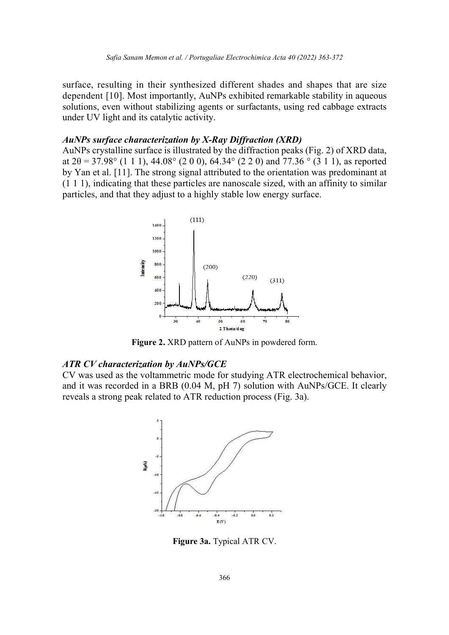surface, resulting in their synthesized different shades and shapes that are size dependent [10]. Most importantly, AuNPs exhibited remarkable stability in aqueous solutions, even without stabilizing agents or surfactants, using red cabbage extracts under UV light and its catalytic activity.

## AuNPs surface characterization by X-Ray Diffraction (XRD)

AuNPs crystalline surface is illustrated by the diffraction peaks (Fig. 2) of XRD data, at  $2\theta = 37.98^{\circ}$  (1 1 1), 44.08° (2 0 0), 64.34° (2 2 0) and 77.36 ° (3 1 1), as reported by Yan et al. [11]. The strong signal attributed to the orientation was predominant at (1 1 1), indicating that these particles are nanoscale sized, with an affinity to similar particles, and that they adjust to a highly stable low energy surface.



Figure 2. XRD pattern of AuNPs in powdered form.

# ATR CV characterization by AuNPs/GCE

CV was used as the voltammetric mode for studying ATR electrochemical behavior, and it was recorded in a BRB (0.04 M, pH 7) solution with AuNPs/GCE. It clearly reveals a strong peak related to ATR reduction process (Fig. 3a).



Figure 3a. Typical ATR CV.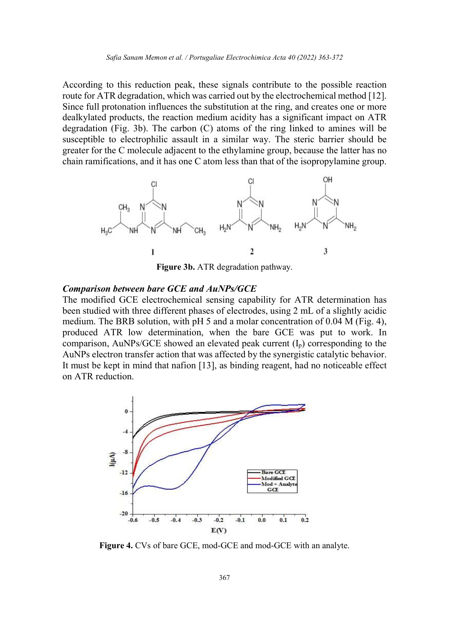According to this reduction peak, these signals contribute to the possible reaction route for ATR degradation, which was carried out by the electrochemical method [12]. Since full protonation influences the substitution at the ring, and creates one or more dealkylated products, the reaction medium acidity has a significant impact on ATR degradation (Fig. 3b). The carbon (C) atoms of the ring linked to amines will be susceptible to electrophilic assault in a similar way. The steric barrier should be greater for the C molecule adjacent to the ethylamine group, because the latter has no chain ramifications, and it has one C atom less than that of the isopropylamine group.



Figure 3b. ATR degradation pathway.

## Comparison between bare GCE and AuNPs/GCE

The modified GCE electrochemical sensing capability for ATR determination has been studied with three different phases of electrodes, using 2 mL of a slightly acidic medium. The BRB solution, with pH 5 and a molar concentration of 0.04 M (Fig. 4), produced ATR low determination, when the bare GCE was put to work. In comparison, AuNPs/GCE showed an elevated peak current  $(I_p)$  corresponding to the AuNPs electron transfer action that was affected by the synergistic catalytic behavior. It must be kept in mind that nafion [13], as binding reagent, had no noticeable effect on ATR reduction.



Figure 4. CVs of bare GCE, mod-GCE and mod-GCE with an analyte.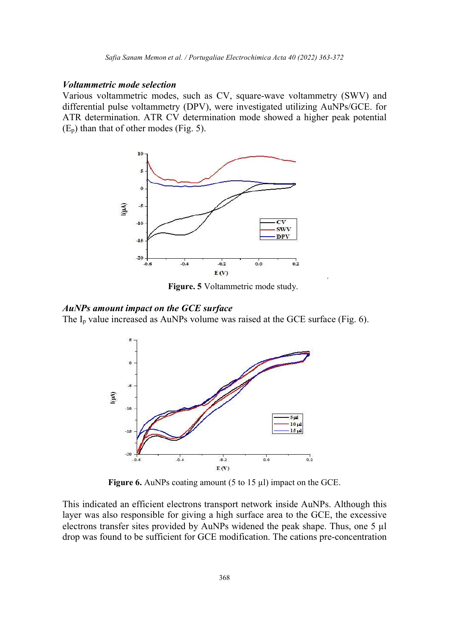## Voltammetric mode selection

Various voltammetric modes, such as CV, square-wave voltammetry (SWV) and differential pulse voltammetry (DPV), were investigated utilizing AuNPs/GCE. for ATR determination. ATR CV determination mode showed a higher peak potential  $(E_p)$  than that of other modes (Fig. 5).



Figure. 5 Voltammetric mode study.

## AuNPs amount impact on the GCE surface

The  $I_p$  value increased as AuNPs volume was raised at the GCE surface (Fig. 6).



Figure 6. AuNPs coating amount (5 to 15 µl) impact on the GCE.

This indicated an efficient electrons transport network inside AuNPs. Although this layer was also responsible for giving a high surface area to the GCE, the excessive electrons transfer sites provided by AuNPs widened the peak shape. Thus, one 5 µl drop was found to be sufficient for GCE modification. The cations pre-concentration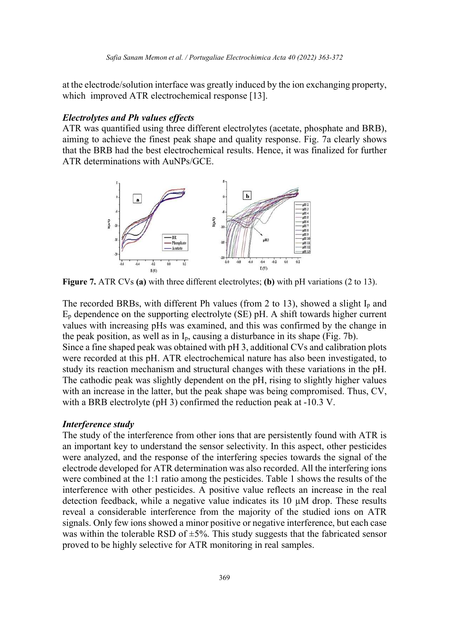at the electrode/solution interface was greatly induced by the ion exchanging property, which improved ATR electrochemical response [13].

## Electrolytes and Ph values effects

ATR was quantified using three different electrolytes (acetate, phosphate and BRB), aiming to achieve the finest peak shape and quality response. Fig. 7a clearly shows that the BRB had the best electrochemical results. Hence, it was finalized for further ATR determinations with AuNPs/GCE.



Figure 7. ATR CVs (a) with three different electrolytes; (b) with pH variations (2 to 13).

The recorded BRBs, with different Ph values (from 2 to 13), showed a slight  $I<sub>p</sub>$  and  $E_p$  dependence on the supporting electrolyte (SE) pH. A shift towards higher current values with increasing pHs was examined, and this was confirmed by the change in the peak position, as well as in  $I_p$ , causing a disturbance in its shape (Fig. 7b).

Since a fine shaped peak was obtained with pH 3, additional CVs and calibration plots were recorded at this pH. ATR electrochemical nature has also been investigated, to study its reaction mechanism and structural changes with these variations in the pH. The cathodic peak was slightly dependent on the pH, rising to slightly higher values with an increase in the latter, but the peak shape was being compromised. Thus, CV, with a BRB electrolyte (pH 3) confirmed the reduction peak at -10.3 V.

# Interference study

The study of the interference from other ions that are persistently found with ATR is an important key to understand the sensor selectivity. In this aspect, other pesticides were analyzed, and the response of the interfering species towards the signal of the electrode developed for ATR determination was also recorded. All the interfering ions were combined at the 1:1 ratio among the pesticides. Table 1 shows the results of the interference with other pesticides. A positive value reflects an increase in the real detection feedback, while a negative value indicates its  $10 \mu M$  drop. These results reveal a considerable interference from the majority of the studied ions on ATR signals. Only few ions showed a minor positive or negative interference, but each case was within the tolerable RSD of  $\pm$ 5%. This study suggests that the fabricated sensor proved to be highly selective for ATR monitoring in real samples.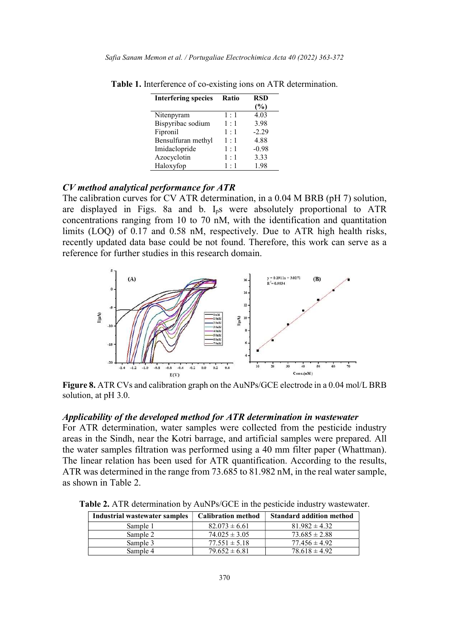| <b>Interfering species</b> | Ratio       | <b>RSD</b> |
|----------------------------|-------------|------------|
|                            |             | $(\%)$     |
| Nitenpyram                 | 1:1         | 4.03       |
| Bispyribac sodium          | 1:1         | 3.98       |
| Fipronil                   | 1:1         | $-2.29$    |
| Bensulfuran methyl         | 1:1         | 4.88       |
| Imidaclopride              | 1:1         | $-0.98$    |
| Azocyclotin                | 1:1         | 3.33       |
| Haloxyfop                  | $1 \cdot 1$ | 1.98       |

Table 1. Interference of co-existing ions on ATR determination.

# CV method analytical performance for ATR

The calibration curves for CV ATR determination, in a 0.04 M BRB (pH 7) solution, are displayed in Figs. 8a and b.  $I_p s$  were absolutely proportional to ATR concentrations ranging from 10 to 70 nM, with the identification and quantitation limits (LOQ) of 0.17 and 0.58 nM, respectively. Due to ATR high health risks, recently updated data base could be not found. Therefore, this work can serve as a reference for further studies in this research domain.



Figure 8. ATR CVs and calibration graph on the AuNPs/GCE electrode in a 0.04 mol/L BRB solution, at pH 3.0.

## Applicability of the developed method for ATR determination in wastewater

For ATR determination, water samples were collected from the pesticide industry areas in the Sindh, near the Kotri barrage, and artificial samples were prepared. All the water samples filtration was performed using a 40 mm filter paper (Whattman). The linear relation has been used for ATR quantification. According to the results, ATR was determined in the range from 73.685 to 81.982 nM, in the real water sample, as shown in Table 2.

| Industrial wastewater samples | <b>Calibration method</b> | <b>Standard addition method</b> |
|-------------------------------|---------------------------|---------------------------------|
| Sample 1                      | $82.073 \pm 6.61$         | $81.982 \pm 4.32$               |
| Sample 2                      | $74.025 \pm 3.05$         | $73.685 \pm 2.88$               |
| Sample 3                      | $77.551 \pm 5.18$         | $77.456 \pm 4.92$               |
| Sample 4                      | $79.652 \pm 6.81$         | $78.618 \pm 4.92$               |

Table 2. ATR determination by AuNPs/GCE in the pesticide industry wastewater.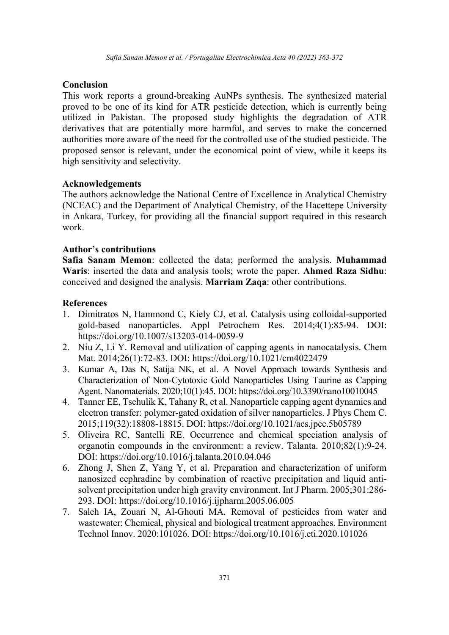# **Conclusion**

This work reports a ground-breaking AuNPs synthesis. The synthesized material proved to be one of its kind for ATR pesticide detection, which is currently being utilized in Pakistan. The proposed study highlights the degradation of ATR derivatives that are potentially more harmful, and serves to make the concerned authorities more aware of the need for the controlled use of the studied pesticide. The proposed sensor is relevant, under the economical point of view, while it keeps its high sensitivity and selectivity.

# Acknowledgements

The authors acknowledge the National Centre of Excellence in Analytical Chemistry (NCEAC) and the Department of Analytical Chemistry, of the Hacettepe University in Ankara, Turkey, for providing all the financial support required in this research work.

# Author's contributions

Safia Sanam Memon: collected the data; performed the analysis. Muhammad Waris: inserted the data and analysis tools; wrote the paper. Ahmed Raza Sidhu: conceived and designed the analysis. Marriam Zaqa: other contributions.

# References

- 1. Dimitratos N, Hammond C, Kiely CJ, et al. Catalysis using colloidal-supported gold-based nanoparticles. Appl Petrochem Res. 2014;4(1):85-94. DOI: https://doi.org/10.1007/s13203-014-0059-9
- 2. Niu Z, Li Y. Removal and utilization of capping agents in nanocatalysis. Chem Mat. 2014;26(1):72-83. DOI: https://doi.org/10.1021/cm4022479
- 3. Kumar A, Das N, Satija NK, et al. A Novel Approach towards Synthesis and Characterization of Non-Cytotoxic Gold Nanoparticles Using Taurine as Capping Agent. Nanomaterials. 2020;10(1):45. DOI: https://doi.org/10.3390/nano10010045
- 4. Tanner EE, Tschulik K, Tahany R, et al. Nanoparticle capping agent dynamics and electron transfer: polymer-gated oxidation of silver nanoparticles. J Phys Chem C. 2015;119(32):18808-18815. DOI: https://doi.org/10.1021/acs.jpcc.5b05789
- 5. Oliveira RC, Santelli RE. Occurrence and chemical speciation analysis of organotin compounds in the environment: a review. Talanta. 2010;82(1):9-24. DOI: https://doi.org/10.1016/j.talanta.2010.04.046
- 6. Zhong J, Shen Z, Yang Y, et al. Preparation and characterization of uniform nanosized cephradine by combination of reactive precipitation and liquid antisolvent precipitation under high gravity environment. Int J Pharm. 2005;301:286- 293. DOI: https://doi.org/10.1016/j.ijpharm.2005.06.005
- 7. Saleh IA, Zouari N, Al-Ghouti MA. Removal of pesticides from water and wastewater: Chemical, physical and biological treatment approaches. Environment Technol Innov. 2020:101026. DOI: https://doi.org/10.1016/j.eti.2020.101026